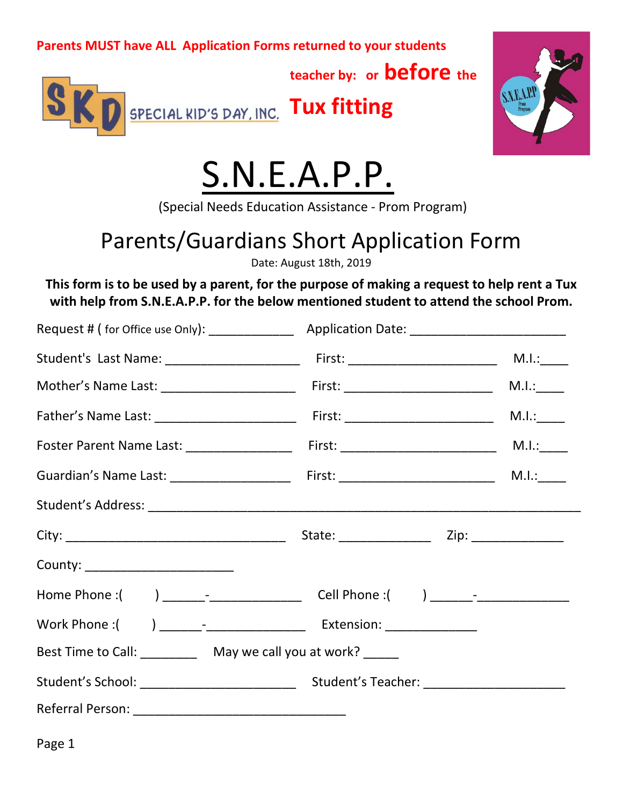**teacher by: or before the**



**D** SPECIAL KID'S DAY, INC. Tux fitting



# S.N.E.A.P.P.

(Special Needs Education Assistance - Prom Program)

# Parents/Guardians Short Application Form

Date: August 18th, 2019

**This form is to be used by a parent, for the purpose of making a request to help rent a Tux with help from S.N.E.A.P.P. for the below mentioned student to attend the school Prom.**

| County: ________________________                               |  |  |
|----------------------------------------------------------------|--|--|
|                                                                |  |  |
|                                                                |  |  |
| Best Time to Call: ___________ May we call you at work? ______ |  |  |
|                                                                |  |  |
|                                                                |  |  |

Page 1